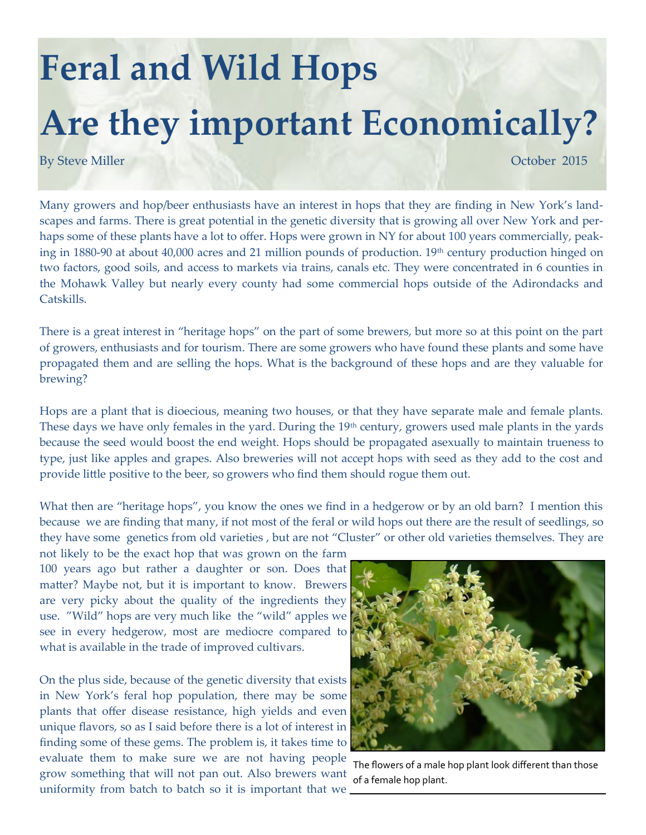## **Feral and Wild Hops Are they important Economically?**

By Steve Miller **Details and Contact Contact Contact Contact Contact Contact Contact Contact Contact Contact Contact Contact Contact Contact Contact Contact Contact Contact Contact Contact Contact Contact Contact Contact C** 

Many growers and hop/beer enthusiasts have an interest in hops that they are finding in New York's landscapes and farms. There is great potential in the genetic diversity that is growing all over New York and perhaps some of these plants have a lot to offer. Hops were grown in NY for about 100 years commercially, peaking in 1880-90 at about 40,000 acres and 21 million pounds of production. 19th century production hinged on two factors, good soils, and access to markets via trains, canals etc. They were concentrated in 6 counties in the Mohawk Valley but nearly every county had some commercial hops outside of the Adirondacks and Catskills.

There is a great interest in "heritage hops" on the part of some brewers, but more so at this point on the part of growers, enthusiasts and for tourism. There are some growers who have found these plants and some have propagated them and are selling the hops. What is the background of these hops and are they valuable for brewing?

Hops are a plant that is dioecious, meaning two houses, or that they have separate male and female plants. These days we have only females in the yard. During the 19<sup>th</sup> century, growers used male plants in the yards because the seed would boost the end weight. Hops should be propagated asexually to maintain trueness to type, just like apples and grapes. Also breweries will not accept hops with seed as they add to the cost and provide little positive to the beer, so growers who find them should rogue them out.

What then are "heritage hops", you know the ones we find in a hedgerow or by an old barn? I mention this because we are finding that many, if not most of the feral or wild hops out there are the result of seedlings, so they have some genetics from old varieties , but are not "Cluster" or other old varieties themselves. They are

not likely to be the exact hop that was grown on the farm 100 years ago but rather a daughter or son. Does that matter? Maybe not, but it is important to know. Brewers are very picky about the quality of the ingredients they use. "Wild" hops are very much like the "wild" apples we see in every hedgerow, most are mediocre compared to what is available in the trade of improved cultivars.

On the plus side, because of the genetic diversity that exists in New York's feral hop population, there may be some plants that offer disease resistance, high yields and even unique flavors, so as I said before there is a lot of interest in finding some of these gems. The problem is, it takes time to evaluate them to make sure we are not having people grow something that will not pan out. Also brewers want uniformity from batch to batch so it is important that we



The flowers of a male hop plant look different than those of a female hop plant.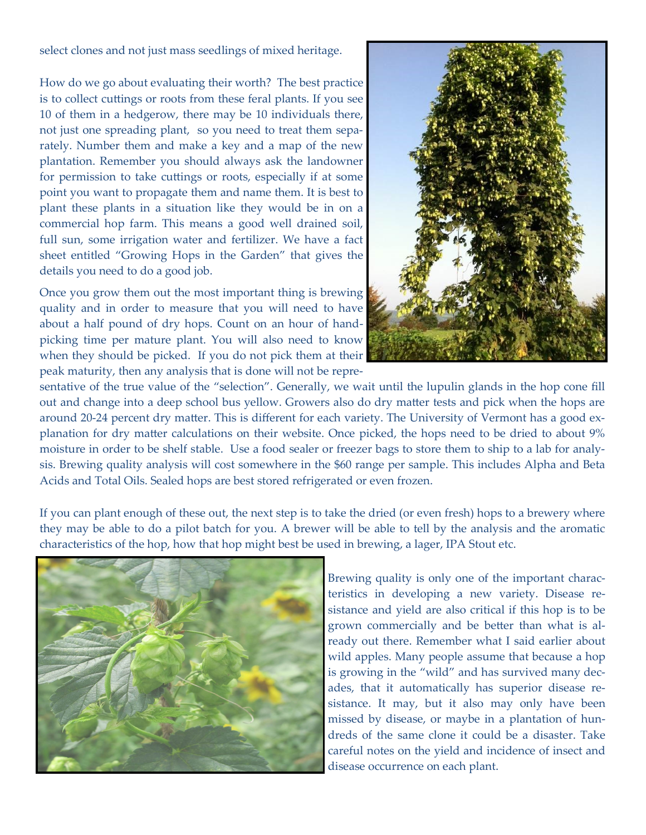select clones and not just mass seedlings of mixed heritage.

How do we go about evaluating their worth? The best practice is to collect cuttings or roots from these feral plants. If you see 10 of them in a hedgerow, there may be 10 individuals there, not just one spreading plant, so you need to treat them separately. Number them and make a key and a map of the new plantation. Remember you should always ask the landowner for permission to take cuttings or roots, especially if at some point you want to propagate them and name them. It is best to plant these plants in a situation like they would be in on a commercial hop farm. This means a good well drained soil, full sun, some irrigation water and fertilizer. We have a fact sheet entitled "Growing Hops in the Garden" that gives the details you need to do a good job.

Once you grow them out the most important thing is brewing quality and in order to measure that you will need to have about a half pound of dry hops. Count on an hour of handpicking time per mature plant. You will also need to know when they should be picked. If you do not pick them at their peak maturity, then any analysis that is done will not be repre-



sentative of the true value of the "selection". Generally, we wait until the lupulin glands in the hop cone fill out and change into a deep school bus yellow. Growers also do dry matter tests and pick when the hops are around 20-24 percent dry matter. This is different for each variety. The University of Vermont has a good explanation for dry matter calculations on their website. Once picked, the hops need to be dried to about 9% moisture in order to be shelf stable. Use a food sealer or freezer bags to store them to ship to a lab for analysis. Brewing quality analysis will cost somewhere in the \$60 range per sample. This includes Alpha and Beta Acids and Total Oils. Sealed hops are best stored refrigerated or even frozen.

If you can plant enough of these out, the next step is to take the dried (or even fresh) hops to a brewery where they may be able to do a pilot batch for you. A brewer will be able to tell by the analysis and the aromatic characteristics of the hop, how that hop might best be used in brewing, a lager, IPA Stout etc.



Brewing quality is only one of the important characteristics in developing a new variety. Disease resistance and yield are also critical if this hop is to be grown commercially and be better than what is already out there. Remember what I said earlier about wild apples. Many people assume that because a hop is growing in the "wild" and has survived many decades, that it automatically has superior disease resistance. It may, but it also may only have been missed by disease, or maybe in a plantation of hundreds of the same clone it could be a disaster. Take careful notes on the yield and incidence of insect and disease occurrence on each plant.